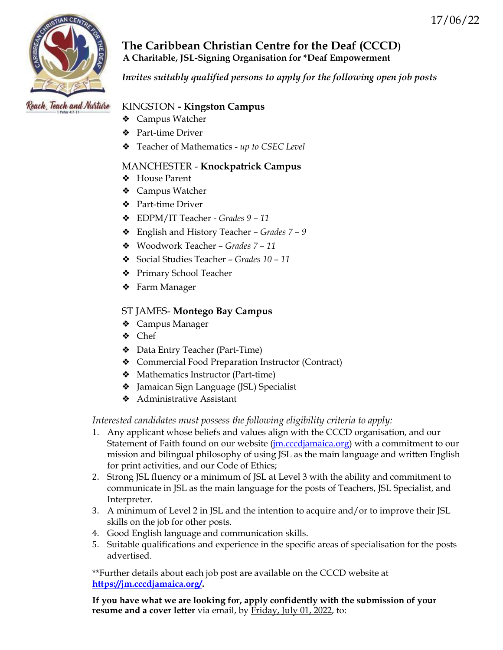

**The Caribbean Christian Centre for the Deaf (CCCD) A Charitable, JSL-Signing Organisation for \*Deaf Empowerment**

*Invites suitably qualified persons to apply for the following open job posts*

# Reach, Teach and Nurture

# KINGSTON **- Kingston Campus**

- ❖ Campus Watcher
- ❖ Part-time Driver
- ❖ Teacher of Mathematics *up to CSEC Level*

# MANCHESTER - **Knockpatrick Campus**

- ❖ House Parent
- ❖ Campus Watcher
- ❖ Part-time Driver
- ❖ EDPM/IT Teacher *Grades 9 – 11*
- ❖ English and History Teacher *Grades 7 – 9*
- ❖ Woodwork Teacher *Grades 7 – 11*
- ❖ Social Studies Teacher *Grades 10 – 11*
- ❖ Primary School Teacher
- ❖ Farm Manager

# ST JAMES- **Montego Bay Campus**

- ❖ Campus Manager
- ❖ Chef
- ❖ Data Entry Teacher (Part-Time)
- ❖ Commercial Food Preparation Instructor (Contract)
- ❖ Mathematics Instructor (Part-time)
- ❖ Jamaican Sign Language (JSL) Specialist
- ❖ Administrative Assistant

# *Interested candidates must possess the following eligibility criteria to apply:*

- 1. Any applicant whose beliefs and values align with the CCCD organisation, and our Statement of Faith found on our website [\(jm.cccdjamaica.org\)](http://www.jm.cccdjamaica.org/) with a commitment to our mission and bilingual philosophy of using JSL as the main language and written English for print activities, and our Code of Ethics;
- 2. Strong JSL fluency or a minimum of JSL at Level 3 with the ability and commitment to communicate in JSL as the main language for the posts of Teachers, JSL Specialist, and Interpreter.
- 3. A minimum of Level 2 in JSL and the intention to acquire and/or to improve their JSL skills on the job for other posts.
- 4. Good English language and communication skills.
- 5. Suitable qualifications and experience in the specific areas of specialisation for the posts advertised.

\*\*Further details about each job post are available on the CCCD website at **[https://jm.cccdjamaica.org/.](https://jm.cccdjamaica.org/)** 

**If you have what we are looking for, apply confidently with the submission of your resume and a cover letter** via email, by Friday, July 01, 2022, to: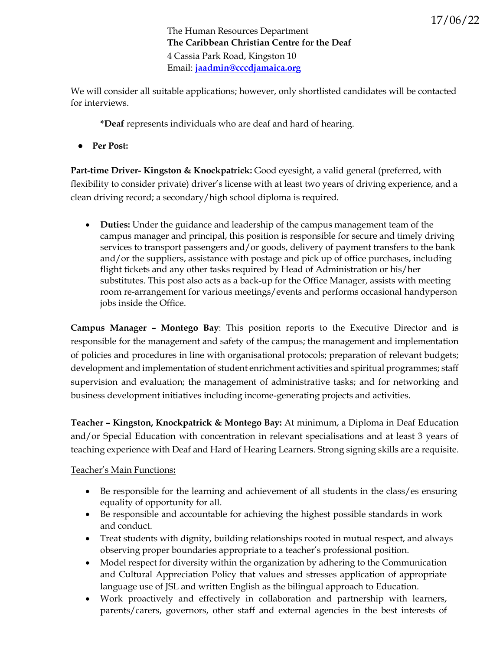The Human Resources Department **The Caribbean Christian Centre for the Deaf**  4 Cassia Park Road, Kingston 10 Email: **[jaadmin@cccdjamaica.org](mailto:jaadmin@cccdjamaica.org)**

We will consider all suitable applications; however, only shortlisted candidates will be contacted for interviews.

**\*Deaf** represents individuals who are deaf and hard of hearing.

● **Per Post:**

**Part-time Driver- Kingston & Knockpatrick:** Good eyesight, a valid general (preferred, with flexibility to consider private) driver's license with at least two years of driving experience, and a clean driving record; a secondary/high school diploma is required.

• **Duties:** Under the guidance and leadership of the campus management team of the campus manager and principal, this position is responsible for secure and timely driving services to transport passengers and/or goods, delivery of payment transfers to the bank and/or the suppliers, assistance with postage and pick up of office purchases, including flight tickets and any other tasks required by Head of Administration or his/her substitutes. This post also acts as a back-up for the Office Manager, assists with meeting room re-arrangement for various meetings/events and performs occasional handyperson jobs inside the Office.

**Campus Manager – Montego Bay**: This position reports to the Executive Director and is responsible for the management and safety of the campus; the management and implementation of policies and procedures in line with organisational protocols; preparation of relevant budgets; development and implementation of student enrichment activities and spiritual programmes; staff supervision and evaluation; the management of administrative tasks; and for networking and business development initiatives including income-generating projects and activities.

**Teacher – Kingston, Knockpatrick & Montego Bay:** At minimum, a Diploma in Deaf Education and/or Special Education with concentration in relevant specialisations and at least 3 years of teaching experience with Deaf and Hard of Hearing Learners. Strong signing skills are a requisite.

### Teacher's Main Functions**:**

- Be responsible for the learning and achievement of all students in the class/es ensuring equality of opportunity for all.
- Be responsible and accountable for achieving the highest possible standards in work and conduct.
- Treat students with dignity, building relationships rooted in mutual respect, and always observing proper boundaries appropriate to a teacher's professional position.
- Model respect for diversity within the organization by adhering to the Communication and Cultural Appreciation Policy that values and stresses application of appropriate language use of JSL and written English as the bilingual approach to Education.
- Work proactively and effectively in collaboration and partnership with learners, parents/carers, governors, other staff and external agencies in the best interests of